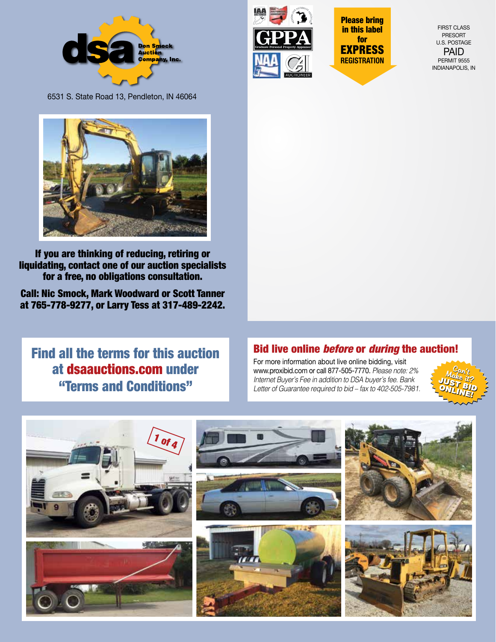



Please bring in this label for EXPRESS **REGISTRATION**

FIRST CLASS PRESORT U.S. POSTAGE PAID PERMIT 9555 INDIANAPOLIS, IN

6531 S. State Road 13, Pendleton, IN 46064



If you are thinking of reducing, retiring or liquidating, contact one of our auction specialists for a free, no obligations consultation.

Call: Nic Smock, Mark Woodward or Scott Tanner at 765-778-9277, or Larry Tess at 317-489-2242.

Find all the terms for this auction at dsaauctions.com under "Terms and Conditions"

# Bid live online *before* or *during* the auction!

For more information about live online bidding, visit www.proxibid.com or call 877-505-7770. *Please note: 2% Internet Buyer's Fee in addition to DSA buyer's fee. Bank Letter of Guarantee required to bid – fax to 402-505-7981.*